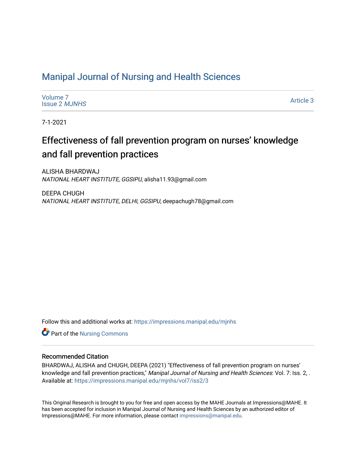# [Manipal Journal of Nursing and Health Sciences](https://impressions.manipal.edu/mjnhs)

| Volume 7             |  |
|----------------------|--|
| lssue 2 <i>MJNHS</i> |  |

[Article 3](https://impressions.manipal.edu/mjnhs/vol7/iss2/3) 

7-1-2021

# Effectiveness of fall prevention program on nurses' knowledge and fall prevention practices

ALISHA BHARDWAJ NATIONAL HEART INSTITUTE, GGSIPU, alisha11.93@gmail.com

DEEPA CHUGH NATIONAL HEART INSTITUTE, DELHI, GGSIPU, deepachugh78@gmail.com

Follow this and additional works at: [https://impressions.manipal.edu/mjnhs](https://impressions.manipal.edu/mjnhs?utm_source=impressions.manipal.edu%2Fmjnhs%2Fvol7%2Fiss2%2F3&utm_medium=PDF&utm_campaign=PDFCoverPages) 

Part of the [Nursing Commons](https://network.bepress.com/hgg/discipline/718?utm_source=impressions.manipal.edu%2Fmjnhs%2Fvol7%2Fiss2%2F3&utm_medium=PDF&utm_campaign=PDFCoverPages) 

# Recommended Citation

BHARDWAJ, ALISHA and CHUGH, DEEPA (2021) "Effectiveness of fall prevention program on nurses' knowledge and fall prevention practices," Manipal Journal of Nursing and Health Sciences: Vol. 7: Iss. 2, . Available at: [https://impressions.manipal.edu/mjnhs/vol7/iss2/3](https://impressions.manipal.edu/mjnhs/vol7/iss2/3?utm_source=impressions.manipal.edu%2Fmjnhs%2Fvol7%2Fiss2%2F3&utm_medium=PDF&utm_campaign=PDFCoverPages) 

This Original Research is brought to you for free and open access by the MAHE Journals at Impressions@MAHE. It has been accepted for inclusion in Manipal Journal of Nursing and Health Sciences by an authorized editor of Impressions@MAHE. For more information, please contact [impressions@manipal.edu](mailto:impressions@manipal.edu).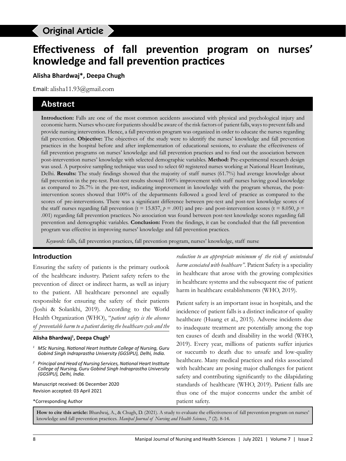# **Effectiveness of fall prevention program on nurses' knowledge and fall prevention practices**

Bhardwaj A et al., Fall prevention program for nurses

**Alisha Bhardwaj\*, Deepa Chugh**

Email: alisha11.93@gmail.com

# **Abstract**

**Introduction:** Falls are one of the most common accidents associated with physical and psychological injury and economic harm. Nurses who care for patients should be aware of the risk factors of patient falls, ways to prevent falls and provide nursing intervention. Hence, a fall prevention program was organized in order to educate the nurses regarding fall prevention. **Objective:** The objectives of the study were to identify the nurses' knowledge and fall prevention practices in the hospital before and after implementation of educational sessions, to evaluate the effectiveness of fall prevention programs on nurses' knowledge and fall prevention practices and to find out the association between post-intervention nurses' knowledge with selected demographic variables. **Method:** Pre-experimental research design was used. A purposive sampling technique was used to select 60 registered nurses working at National Heart Institute, Delhi. **Results:** The study findings showed that the majority of staff nurses (61.7%) had average knowledge about fall prevention in the pre-test. Post-test results showed 100% improvement with staff nurses having good knowledge as compared to 26.7% in the pre-test, indicating improvement in knowledge with the program whereas, the postintervention scores showed that 100% of the departments followed a good level of practice as compared to the scores of pre-interventions. There was a significant difference between pre-test and post-test knowledge scores of the staff nurses regarding fall prevention ( $t = 15.837$ ,  $p = .001$ ) and pre- and post-intervention scores ( $t = 8.050$ ,  $p =$ .001) regarding fall prevention practices. No association was found between post-test knowledge scores regarding fall prevention and demographic variables. **Conclusion:** From the findings, it can be concluded that the fall prevention program was effective in improving nurses' knowledge and fall prevention practices.

*Keywords:* falls, fall prevention practices, fall prevention program, nurses' knowledge, staff nurse

## **Introduction**

Ensuring the safety of patients is the primary outlook of the healthcare industry. Patient safety refers to the prevention of direct or indirect harm, as well as injury to the patient. All healthcare personnel are equally responsible for ensuring the safety of their patients (Joshi & Solankhi, 2019). According to the World Health Organization (WHO), "*patient safety is the absence of preventable harm to a patient during the healthcare cycle and the* 

#### **Alisha Bhardwaj1 , Deepa Chugh2**

- *1 MSc Nursing, National Heart Institute College of Nursing, Guru Gobind Singh Indraprastha University (GGSIPU), Delhi, India.*
- *2 Principal and Head of Nursing Services, National Heart Institute College of Nursing, Guru Gobind Singh Indraprastha University (GGSIPU), Delhi, India.*

Manuscript received: 06 December 2020 Revision accepted: 03 April 2021

\*Corresponding Author

*reduction to an appropriate minimum of the risk of unintended harm associated with healthcare"*. Patient Safety is a speciality in healthcare that arose with the growing complexities in healthcare systems and the subsequent rise of patient harm in healthcare establishments (WHO, 2019).

Patient safety is an important issue in hospitals, and the incidence of patient falls is a distinct indicator of quality healthcare (Huang et al., 2015). Adverse incidents due to inadequate treatment are potentially among the top ten causes of death and disability in the world (WHO, 2019). Every year, millions of patients suffer injuries or succumb to death due to unsafe and low-quality healthcare. Many medical practices and risks associated with healthcare are posing major challenges for patient safety and contributing significantly to the dilapidating standards of healthcare (WHO, 2019). Patient falls are thus one of the major concerns under the ambit of patient safety.

**How to cite this article:** Bhardwaj, A., & Chugh, D. (2021). A study to evaluate the effectiveness of fall prevention program on nurses' knowledge and fall prevention practices. *Manipal Journal of Nursing and Health Sciences*, *7* (2). 8-14.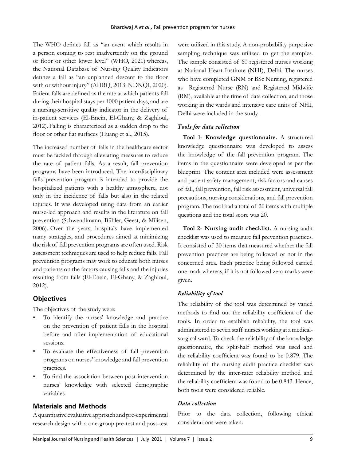The WHO defines fall as "an event which results in a person coming to rest inadvertently on the ground or floor or other lower level" (WHO, 2021) whereas, the National Database of Nursing Quality Indicators defines a fall as "an unplanned descent to the floor with or without injury" (AHRQ, 2013; NDNQI, 2020). Patient falls are defined as the rate at which patients fall during their hospital stays per 1000 patient days, and are a nursing-sensitive quality indicator in the delivery of in-patient services (El-Enein, El-Ghany, & Zaghloul, 2012). Falling is characterized as a sudden drop to the floor or other flat surfaces (Huang et al., 2015).

The increased number of falls in the healthcare sector must be tackled through alleviating measures to reduce the rate of patient falls. As a result, fall prevention programs have been introduced. The interdisciplinary falls prevention program is intended to provide the hospitalized patients with a healthy atmosphere, not only in the incidence of falls but also in the related injuries. It was developed using data from an earlier nurse-led approach and results in the literature on fall prevention (Schwendimann, Bühler, Geest, & Milisen, 2006). Over the years, hospitals have implemented many strategies, and procedures aimed at minimizing the risk of fall prevention programs are often used. Risk assessment techniques are used to help reduce falls. Fall prevention programs may work to educate both nurses and patients on the factors causing falls and the injuries resulting from falls (El-Enein, El-Ghany, & Zaghloul, 2012).

## **Objectives**

The objectives of the study were:

- To identify the nurses' knowledge and practice on the prevention of patient falls in the hospital before and after implementation of educational sessions.
- To evaluate the effectiveness of fall prevention programs on nurses' knowledge and fall prevention practices.
- To find the association between post-intervention nurses' knowledge with selected demographic variables.

## **Materials and Methods**

A quantitative evaluative approach and pre-experimental research design with a one-group pre-test and post-test were utilized in this study. A non-probability purposive sampling technique was utilized to get the samples. The sample consisted of 60 registered nurses working at National Heart Institute (NHI), Delhi. The nurses who have completed GNM or BSc Nursing, registered as Registered Nurse (RN) and Registered Midwife (RM), available at the time of data collection, and those working in the wards and intensive care units of NHI, Delhi were included in the study.

## *Tools for data collection*

**Tool 1- Knowledge questionnaire.** A structured knowledge questionnaire was developed to assess the knowledge of the fall prevention program. The items in the questionnaire were developed as per the blueprint. The content area included were assessment and patient safety management, risk factors and causes of fall, fall prevention, fall risk assessment, universal fall precautions, nursing considerations, and fall prevention program. The tool had a total of 20 items with multiple questions and the total score was 20.

**Tool 2- Nursing audit checklist.** A nursing audit checklist was used to measure fall prevention practices. It consisted of 30 items that measured whether the fall prevention practices are being followed or not in the concerned area. Each practice being followed carried one mark whereas, if it is not followed zero marks were given.

## *Reliability of tool*

The reliability of the tool was determined by varied methods to find out the reliability coefficient of the tools. In order to establish reliability, the tool was administered to seven staff nurses working at a medicalsurgical ward. To check the reliability of the knowledge questionnaire, the split-half method was used and the reliability coefficient was found to be 0.879. The reliability of the nursing audit practice checklist was determined by the inter-rater reliability method and the reliability coefficient was found to be 0.843. Hence, both tools were considered reliable.

#### *Data collection*

Prior to the data collection, following ethical considerations were taken: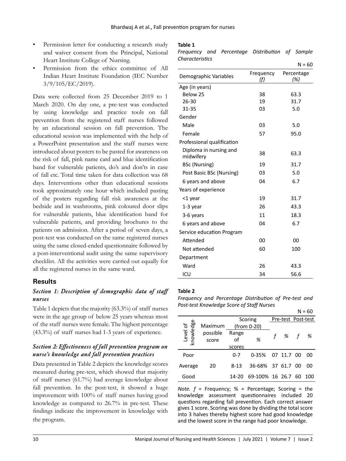- Permission letter for conducting a research study and waiver consent from the Principal, National Heart Institute College of Nursing.
- Permission from the ethics committee of All Indian Heart Institute Foundation (IEC Number 3/9/105/EC/2019).

Data were collected from 25 December 2019 to 1 March 2020. On day one, a pre-test was conducted by using knowledge and practice tools on fall prevention from the registered staff nurses followed by an educational session on fall prevention. The educational session was implemented with the help of a PowerPoint presentation and the staff nurses were introduced about posters to be pasted for awareness on the risk of fall, pink name card and blue identification band for vulnerable patients, do's and don'ts in case of fall etc. Total time taken for data collection was 68 days. Interventions other than educational sessions took approximately one hour which included pasting of the posters regarding fall risk awareness at the bedside and in washrooms, pink coloured door slips for vulnerable patients, blue identification band for vulnerable patients, and providing brochures to the patients on admission. After a period of seven days, a post-test was conducted on the same registered nurses using the same closed-ended questionnaire followed by a post-interventional audit using the same supervisory checklist. All the activities were carried out equally for all the registered nurses in the same ward.

## **Results**

# *Section 1: Description of demographic data of staff nurses*

Table 1 depicts that the majority (63.3%) of staff nurses were in the age group of below 25 years whereas most of the staff nurses were female. The highest percentage (43.3%) of staff nurses had 1-3 years of experience.

# *Section 2: Effectiveness of fall prevention program on nurse's knowledge and fall prevention practices*

Data presented in Table 2 depicts the knowledge scores measured during pre-test, which showed that majority of staff nurses (61.7%) had average knowledge about fall prevention. In the post-test, it showed a huge improvement with 100% of staff nurses having good knowledge as compared to 26.7% in pre-test. These findings indicate the improvement in knowledge with the program.

#### **Table 1**

*Frequency and Percentage Distribution of Sample Characteristics*

|                                     |                  | $N = 60$          |
|-------------------------------------|------------------|-------------------|
| Demographic Variables               | Frequency<br>(f) | Percentage<br>(%) |
| Age (in years)                      |                  |                   |
| Below 25                            | 38               | 63.3              |
| 26-30                               | 19               | 31.7              |
| 31-35                               | 03               | 5.0               |
| Gender                              |                  |                   |
| Male                                | 03               | 5.0               |
| Female                              | 57               | 95.0              |
| Professional qualification          |                  |                   |
| Diploma in nursing and<br>midwifery | 38               | 63.3              |
| BSc (Nursing)                       | 19               | 31.7              |
| Post Basic BSc (Nursing)            | 03               | 5.0               |
| 6 years and above                   | 04               | 6.7               |
| Years of experience                 |                  |                   |
| <1 year                             | 19               | 31.7              |
| $1-3$ year                          | 26               | 43.3              |
| 3-6 years                           | 11               | 18.3              |
| 6 years and above                   | 04               | 6.7               |
| Service education Program           |                  |                   |
| Attended                            | 00               | 00                |
| Not attended                        | 60               | 100               |
| Department                          |                  |                   |
| Ward                                | 26               | 43.3              |
| ICU                                 | 34               | 56.6              |

#### **Table 2**

*Frequency and Percentage Distribution of Pre-test and Post-test Knowledge Score of Staff Nurses*

|                      |          |             |                    |            | $N = 60$ |
|----------------------|----------|-------------|--------------------|------------|----------|
|                      |          | Scoring     | Pre-test Post-test |            |          |
| dge<br>Maximum       |          | (from 0-20) |                    |            |          |
| Level of<br>knowledg | possible | Range       |                    | %          | %        |
|                      | score    | of          | %                  |            |          |
|                      |          | scores      |                    |            |          |
| Poor                 |          | $0 - 7$     | $0 - 35%$          | 07 11.7 00 | ΩO       |
| Average              | 20       | 8-13        | 36-68% 37 61.7 00  |            | 00       |
| Good                 |          | 14-20       | 69-100% 16 26.7 60 |            | 100      |

*Note. f* = Frequency; % = Percentage; Scoring = the knowledge assessment questionnaires included 20 questions regarding fall prevention. Each correct answer gives 1 score. Scoring was done by dividing the total score into 3 halves thereby highest score had good knowledge and the lowest score in the range had poor knowledge.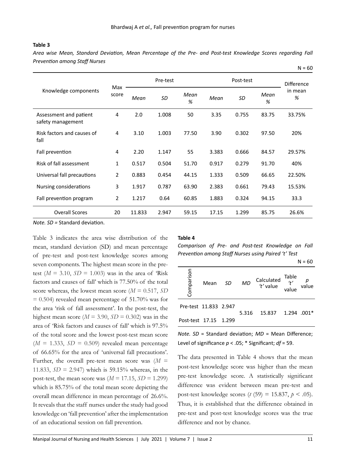#### **Table 3**

*Area wise Mean, Standard Deviation, Mean Percentage of the Pre- and Post-test Knowledge Scores regarding Fall Prevention among Staff Nurses*

|                                             |                | Pre-test |       |           | Post-test |       |           | <b>Difference</b> |
|---------------------------------------------|----------------|----------|-------|-----------|-----------|-------|-----------|-------------------|
| Knowledge components                        | Max<br>score   | Mean     | SD    | Mean<br>% | Mean      | SD    | Mean<br>% | in mean<br>%      |
| Assessment and patient<br>safety management | 4              | 2.0      | 1.008 | 50        | 3.35      | 0.755 | 83.75     | 33.75%            |
| Risk factors and causes of<br>fall          | 4              | 3.10     | 1.003 | 77.50     | 3.90      | 0.302 | 97.50     | 20%               |
| Fall prevention                             | 4              | 2.20     | 1.147 | 55        | 3.383     | 0.666 | 84.57     | 29.57%            |
| Risk of fall assessment                     | 1              | 0.517    | 0.504 | 51.70     | 0.917     | 0.279 | 91.70     | 40%               |
| Universal fall precautions                  | $\overline{2}$ | 0.883    | 0.454 | 44.15     | 1.333     | 0.509 | 66.65     | 22.50%            |
| Nursing considerations                      | 3              | 1.917    | 0.787 | 63.90     | 2.383     | 0.661 | 79.43     | 15.53%            |
| Fall prevention program                     | 2              | 1.217    | 0.64  | 60.85     | 1.883     | 0.324 | 94.15     | 33.3              |
| <b>Overall Scores</b>                       | 20             | 11.833   | 2.947 | 59.15     | 17.15     | 1.299 | 85.75     | 26.6%             |

*Note. SD =* Standard deviation.

Table 3 indicates the area wise distribution of the mean, standard deviation (SD) and mean percentage of pre-test and post-test knowledge scores among seven components. The highest mean score in the pretest  $(M = 3.10, SD = 1.003)$  was in the area of 'Risk factors and causes of fall' which is 77.50% of the total score whereas, the lowest mean score (*M* = 0.517, *SD*   $= 0.504$ ) revealed mean percentage of 51.70% was for the area 'risk of fall assessment'. In the post-test, the highest mean score ( $M = 3.90$ ,  $SD = 0.302$ ) was in the area of 'Risk factors and causes of fall' which is 97.5% of the total score and the lowest post-test mean score  $(M = 1.333, SD = 0.509)$  revealed mean percentage of 66.65% for the area of 'universal fall precautions'. Further, the overall pre-test mean score was  $(M =$ 11.833, *SD* = 2.947) which is 59.15% whereas, in the post-test, the mean score was  $(M = 17.15, SD = 1.299)$ which is 85.75% of the total mean score depicting the overall mean difference in mean percentage of 26.6%. It reveals that the staff nurses under the study had good knowledge on 'fall prevention' after the implementation of an educational session on fall prevention.

#### **Table 4**

*Comparison of Pre- and Post-test Knowledge on Fall Prevention among Staff Nurses using Paired 't' Test*

 $N = 60$ 

 $N = 60$ 

| Comparison            | Mean | SD | <b>MD</b> | Calculated Table<br>"t' value value"<br>Calculated | value |
|-----------------------|------|----|-----------|----------------------------------------------------|-------|
| Pre-test 11.833 2.947 |      |    | 5.316     | 15.837 1.294 .001*                                 |       |
| Post-test 17.15 1.299 |      |    |           |                                                    |       |

*Note. SD* = Standard deviation; *MD* = Mean Difference; Level of significance *p* < .05; \* Significant; *df* = 59.

The data presented in Table 4 shows that the mean post-test knowledge score was higher than the mean pre-test knowledge score. A statistically significant difference was evident between mean pre-test and post-test knowledge scores (*t* (59) = 15.837,  $p < .05$ ). Thus, it is established that the difference obtained in pre-test and post-test knowledge scores was the true difference and not by chance.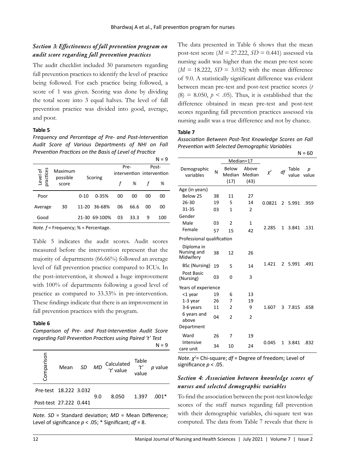# *Section 3: Effectiveness of fall prevention program on audit score regarding fall prevention practices*

The audit checklist included 30 parameters regarding fall prevention practices to identify the level of practice being followed. For each practice being followed, a score of 1 was given. Scoring was done by dividing the total score into 3 equal halves. The level of fall prevention practice was divided into good, average, and poor.

### **Table 5**

*Frequency and Percentage of Pre- and Post-Intervention Audit Score of Various Departments of NHI on Fall Prevention Practices on the Basis of Level of Practice*

|                  |                     |          |               |    |      |    | $N = 9$                   |
|------------------|---------------------|----------|---------------|----|------|----|---------------------------|
|                  |                     | Scoring  |               |    | Pre- |    | Post-                     |
| ces<br>৳         | Maximum<br>possible |          |               |    |      |    | intervention intervention |
| Level<br>practic | score               |          |               |    | %    |    | %                         |
| Poor             |                     | $0 - 10$ | $0 - 35%$     | 00 | 00   | 00 | 00                        |
| Average          | 30                  |          | 11-20 36-68%  | 06 | 66.6 | 00 | 00                        |
| Good             |                     |          | 21-30 69-100% | 03 | 33.3 | q  | 100                       |

*Note. f* = Frequency; % = Percentage.

Table 5 indicates the audit scores. Audit scores measured before the intervention represent that the majority of departments (66.66%) followed an average level of fall prevention practice compared to ICUs. In the post-intervention, it showed a huge improvement with 100% of departments following a good level of practice as compared to 33.33% in pre-intervention. These findings indicate that there is an improvement in fall prevention practices with the program.

#### **Table 6**

*Comparison of Pre- and Post-Intervention Audit Score regarding Fall Prevention Practices using Paired 't' Test*

 $N = 9$ 

| Comparison             | Mean | <b>SD</b> | <b>MD</b> | Calculated<br>'t' value | Table<br>$^{\prime}$<br>value | p value |
|------------------------|------|-----------|-----------|-------------------------|-------------------------------|---------|
| Pre-test 18.222 3.032  |      |           | 9.0       | 8.050                   | 1.397                         | $.001*$ |
| Post-test 27.222 0.441 |      |           |           |                         |                               |         |
|                        |      |           |           |                         |                               |         |

*Note. SD* = Standard deviation; *MD* = Mean Difference; Level of significance *p* < .05; \* Significant; *df* = 8.

The data presented in Table 6 shows that the mean post-test score ( $M = 27.222$ ,  $SD = 0.441$ ) assessed via nursing audit was higher than the mean pre-test score  $(M = 18.222, SD = 3.032)$  with the mean difference of 9.0. A statistically significant difference was evident between mean pre-test and post-test practice scores (*t*  $(8) = 8.050$ ,  $p < .05$ ). Thus, it is established that the difference obtained in mean pre-test and post-test scores regarding fall prevention practices assessed via nursing audit was a true difference and not by chance.

#### **Table 7**

*Association Between Post-Test Knowledge Scores on Fall Prevention with Selected Demographic Variables*

 $N = 60$ 

|                                        |    |                         |                         |          |                |                | ט -        |
|----------------------------------------|----|-------------------------|-------------------------|----------|----------------|----------------|------------|
|                                        |    |                         | Median=17               |          |                |                |            |
| Demographic<br>variables               | N  | Below<br>Median<br>(17) | Above<br>Median<br>(43) | $\chi^2$ | df             | Table<br>value | p<br>value |
| Age (in years)                         |    |                         |                         |          |                |                |            |
| Below 25                               | 38 | 11                      | 27                      |          |                |                |            |
| 26-30                                  | 19 | 5                       | 14                      | 0.0821   | $\overline{2}$ | 5.991          | .959       |
| 31-35                                  | 03 | 1                       | $\mathfrak{p}$          |          |                |                |            |
| Gender                                 |    |                         |                         |          |                |                |            |
| Male                                   | 03 | $\overline{2}$          | $\mathbf{1}$            |          |                |                |            |
| Female                                 | 57 | 15                      | 42                      | 2.285    | 1              | 3.841          | .131       |
| Professional qualification             |    |                         |                         |          |                |                |            |
| Diploma in<br>Nursing and<br>Midwifery | 38 | 12                      | 26                      |          |                |                |            |
| BSc (Nursing)                          | 19 | 5                       | 14                      | 1.421    | 2              | 5.991          | .491       |
| Post Basic<br>(Nursing)                | 03 | 0                       | 3                       |          |                |                |            |
| Years of experience                    |    |                         |                         |          |                |                |            |
| <1 year                                | 19 | 6                       | 13                      |          |                |                |            |
| 1-3 year                               | 26 | 7                       | 19                      |          |                |                |            |
| 3-6 years                              | 11 | $\overline{2}$          | 9                       | 1.607    | 3              | 7.815          | .658       |
| 6 years and<br>above                   | 04 | $\overline{2}$          | $\overline{2}$          |          |                |                |            |
| Department                             |    |                         |                         |          |                |                |            |
| Ward                                   | 26 | 7                       | 19                      |          |                |                |            |
| Intensive<br>care unit                 | 34 | 10                      | 24                      | 0.045    | 1              | 3.841          | .832       |

*Note. χ<sup>2</sup>* = Chi-square; *df* = Degree of freedom; Level of significance *p* < .05.

## *Section 4: Association between knowledge scores of nurses and selected demographic variables*

To find the association between the post-test knowledge scores of the staff nurses regarding fall prevention with their demographic variables, chi-square test was computed. The data from Table 7 reveals that there is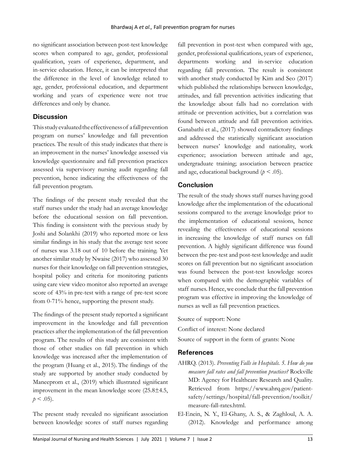no significant association between post-test knowledge scores when compared to age, gender, professional qualification, years of experience, department, and in-service education. Hence, it can be interpreted that the difference in the level of knowledge related to age, gender, professional education, and department working and years of experience were not true differences and only by chance.

## **Discussion**

This study evaluated the effectiveness of a fall prevention program on nurses' knowledge and fall prevention practices. The result of this study indicates that there is an improvement in the nurses' knowledge assessed via knowledge questionnaire and fall prevention practices assessed via supervisory nursing audit regarding fall prevention, hence indicating the effectiveness of the fall prevention program.

The findings of the present study revealed that the staff nurses under the study had an average knowledge before the educational session on fall prevention. This finding is consistent with the previous study by Joshi and Solankhi (2019) who reported more or less similar findings in his study that the average test score of nurses was 3.18 out of 10 before the training. Yet another similar study by Nwaise (2017) who assessed 30 nurses for their knowledge on fall prevention strategies, hospital policy and criteria for monitoring patients using care view video monitor also reported an average score of 43% in pre-test with a range of pre-test score from 0-71% hence, supporting the present study.

The findings of the present study reported a significant improvement in the knowledge and fall prevention practices after the implementation of the fall prevention program. The results of this study are consistent with those of other studies on fall prevention in which knowledge was increased after the implementation of the program (Huang et al., 2015). The findings of the study are supported by another study conducted by Maneeprom et al., (2019) which illustrated significant improvement in the mean knowledge score (25.8±4.5,  $p < .05$ ).

The present study revealed no significant association between knowledge scores of staff nurses regarding fall prevention in post-test when compared with age, gender, professional qualifications, years of experience, departments working and in-service education regarding fall prevention. The result is consistent with another study conducted by Kim and Seo (2017) which published the relationships between knowledge, attitudes, and fall prevention activities indicating that the knowledge about falls had no correlation with attitude or prevention activities, but a correlation was found between attitude and fall prevention activities. Ganabathi et al., (2017) showed contradictory findings and addressed the statistically significant association between nurses' knowledge and nationality, work experience; association between attitude and age, undergraduate training; association between practice and age, educational background  $(p < .05)$ .

## **Conclusion**

The result of the study shows staff nurses having good knowledge after the implementation of the educational sessions compared to the average knowledge prior to the implementation of educational sessions, hence revealing the effectiveness of educational sessions in increasing the knowledge of staff nurses on fall prevention. A highly significant difference was found between the pre-test and post-test knowledge and audit scores on fall prevention but no significant association was found between the post-test knowledge scores when compared with the demographic variables of staff nurses. Hence, we conclude that the fall prevention program was effective in improving the knowledge of nurses as well as fall prevention practices.

Source of support: None

Conflict of interest: None declared

Source of support in the form of grants: None

## **References**

- AHRQ. (2013). *Preventing Falls in Hospitals. 5. How do you measure fall rates and fall prevention practices?* Rockville MD: Agency for Healthcare Research and Quality. Retrieved from https://www.ahrq.gov/patientsafety/settings/hospital/fall-prevention/toolkit/ measure-fall-rates.html.
- El-Enein, N. Y., El-Ghany, A. S., & Zaghloul, A. A. (2012). Knowledge and performance among